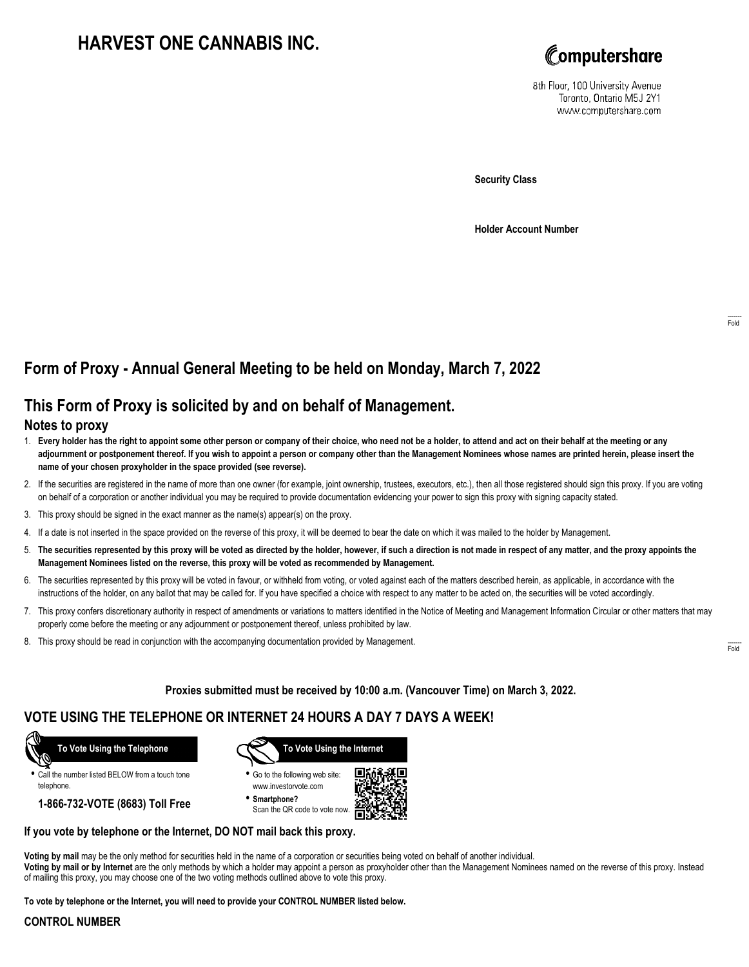# **HARVEST ONE CANNABIS INC.**



8th Floor, 100 University Avenue Toronto, Ontario M5J 2Y1 www.computershare.com

**Security Class**

**Holder Account Number**

## **Form of Proxy - Annual General Meeting to be held on Monday, March 7, 2022**

## **This Form of Proxy is solicited by and on behalf of Management.**

### **Notes to proxy**

- 1. **Every holder has the right to appoint some other person or company of their choice, who need not be a holder, to attend and act on their behalf at the meeting or any adjournment or postponement thereof. If you wish to appoint a person or company other than the Management Nominees whose names are printed herein, please insert the name of your chosen proxyholder in the space provided (see reverse).**
- 2. If the securities are registered in the name of more than one owner (for example, joint ownership, trustees, executors, etc.), then all those registered should sign this proxy. If you are voting on behalf of a corporation or another individual you may be required to provide documentation evidencing your power to sign this proxy with signing capacity stated.
- 3. This proxy should be signed in the exact manner as the name(s) appear(s) on the proxy.
- 4. If a date is not inserted in the space provided on the reverse of this proxy, it will be deemed to bear the date on which it was mailed to the holder by Management.
- 5. **The securities represented by this proxy will be voted as directed by the holder, however, if such a direction is not made in respect of any matter, and the proxy appoints the Management Nominees listed on the reverse, this proxy will be voted as recommended by Management.**
- 6. The securities represented by this proxy will be voted in favour, or withheld from voting, or voted against each of the matters described herein, as applicable, in accordance with the instructions of the holder, on any ballot that may be called for. If you have specified a choice with respect to any matter to be acted on, the securities will be voted accordingly.
- 7. This proxy confers discretionary authority in respect of amendments or variations to matters identified in the Notice of Meeting and Management Information Circular or other matters that may properly come before the meeting or any adjournment or postponement thereof, unless prohibited by law.
- 8. This proxy should be read in conjunction with the accompanying documentation provided by Management.

**Proxies submitted must be received by 10:00 a.m. (Vancouver Time) on March 3, 2022.**

## **VOTE USING THE TELEPHONE OR INTERNET 24 HOURS A DAY 7 DAYS A WEEK!**



**•** Call the number listed BELOW from a touch tone telephone.

**1-866-732-VOTE (8683) Toll Free**



**•** Go to the following web site: www.investorvote.com

**• Smartphone?** Scan the QR code to vote now.



#### **If you vote by telephone or the Internet, DO NOT mail back this proxy.**

**Voting by mail** may be the only method for securities held in the name of a corporation or securities being voted on behalf of another individual. **Voting by mail or by Internet** are the only methods by which a holder may appoint a person as proxyholder other than the Management Nominees named on the reverse of this proxy. Instead of mailing this proxy, you may choose one of the two voting methods outlined above to vote this proxy.

**To vote by telephone or the Internet, you will need to provide your CONTROL NUMBER listed below.**

#### **CONTROL NUMBER**